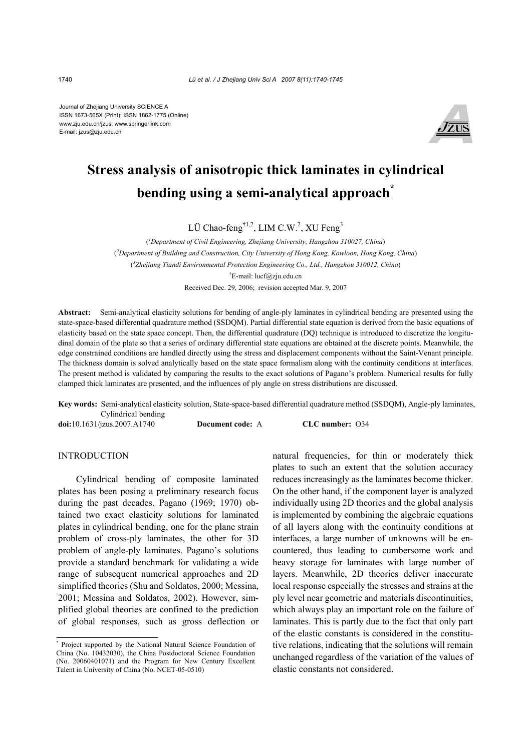Journal of Zhejiang University SCIENCE A ISSN 1673-565X (Print); ISSN 1862-1775 (Online) www.zju.edu.cn/jzus; www.springerlink.com E-mail: jzus@zju.edu.cn



# **Stress analysis of anisotropic thick laminates in cylindrical bending using a semi-analytical approach\***

LÜ Chao-feng<sup>†1,2</sup>, LIM C.W.<sup>2</sup>, XU Feng<sup>3</sup>

( *1 Department of Civil Engineering, Zhejiang University, Hangzhou 310027, China*) ( *2 Department of Building and Construction, City University of Hong Kong, Kowloon, Hong Kong, China*) ( *3 Zhejiang Tiandi Environmental Protection Engineering Co., Ltd., Hangzhou 310012, China*) † E-mail: lucf@zju.edu.cn Received Dec. 29, 2006; revision accepted Mar. 9, 2007

**Abstract:** Semi-analytical elasticity solutions for bending of angle-ply laminates in cylindrical bending are presented using the state-space-based differential quadrature method (SSDQM). Partial differential state equation is derived from the basic equations of elasticity based on the state space concept. Then, the differential quadrature (DQ) technique is introduced to discretize the longitudinal domain of the plate so that a series of ordinary differential state equations are obtained at the discrete points. Meanwhile, the edge constrained conditions are handled directly using the stress and displacement components without the Saint-Venant principle. The thickness domain is solved analytically based on the state space formalism along with the continuity conditions at interfaces. The present method is validated by comparing the results to the exact solutions of Pagano's problem. Numerical results for fully clamped thick laminates are presented, and the influences of ply angle on stress distributions are discussed.

**Key words:** Semi-analytical elasticity solution, State-space-based differential quadrature method (SSDQM), Angle-ply laminates, Cylindrical bending

**doi:**10.1631/jzus.2007.A1740 **Document code:** A **CLC number:** O34

## INTRODUCTION

Cylindrical bending of composite laminated plates has been posing a preliminary research focus during the past decades. Pagano (1969; 1970) obtained two exact elasticity solutions for laminated plates in cylindrical bending, one for the plane strain problem of cross-ply laminates, the other for 3D problem of angle-ply laminates. Pagano's solutions provide a standard benchmark for validating a wide range of subsequent numerical approaches and 2D simplified theories (Shu and Soldatos, 2000; Messina, 2001; Messina and Soldatos, 2002). However, simplified global theories are confined to the prediction of global responses, such as gross deflection or natural frequencies, for thin or moderately thick plates to such an extent that the solution accuracy reduces increasingly as the laminates become thicker. On the other hand, if the component layer is analyzed individually using 2D theories and the global analysis is implemented by combining the algebraic equations of all layers along with the continuity conditions at interfaces, a large number of unknowns will be encountered, thus leading to cumbersome work and heavy storage for laminates with large number of layers. Meanwhile, 2D theories deliver inaccurate local response especially the stresses and strains at the ply level near geometric and materials discontinuities, which always play an important role on the failure of laminates. This is partly due to the fact that only part of the elastic constants is considered in the constitutive relations, indicating that the solutions will remain unchanged regardless of the variation of the values of elastic constants not considered.

<sup>\*</sup> Project supported by the National Natural Science Foundation of China (No. 10432030), the China Postdoctoral Science Foundation (No. 20060401071) and the Program for New Century Excellent Talent in University of China (No. NCET-05-0510)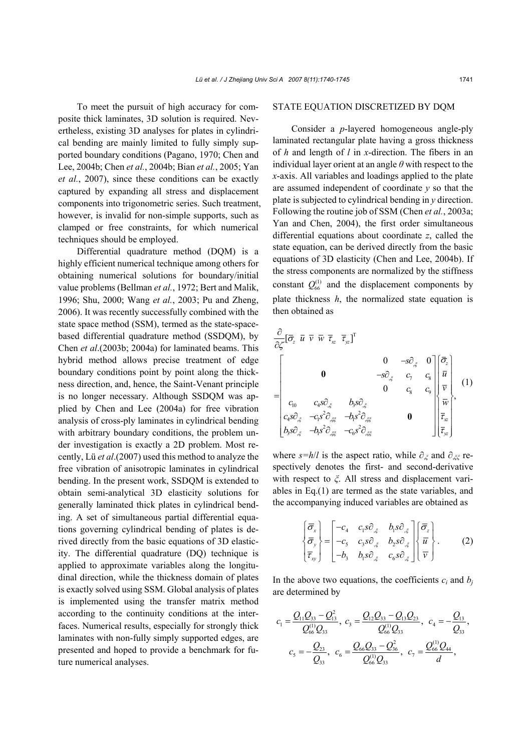To meet the pursuit of high accuracy for composite thick laminates, 3D solution is required. Nevertheless, existing 3D analyses for plates in cylindrical bending are mainly limited to fully simply supported boundary conditions (Pagano, 1970; Chen and Lee, 2004b; Chen *et al.*, 2004b; Bian *et al.*, 2005; Yan *et al.*, 2007), since these conditions can be exactly captured by expanding all stress and displacement components into trigonometric series. Such treatment, however, is invalid for non-simple supports, such as clamped or free constraints, for which numerical techniques should be employed.

Differential quadrature method (DQM) is a highly efficient numerical technique among others for obtaining numerical solutions for boundary/initial value problems (Bellman *et al.*, 1972; Bert and Malik, 1996; Shu, 2000; Wang *et al.*, 2003; Pu and Zheng, 2006). It was recently successfully combined with the state space method (SSM), termed as the state-spacebased differential quadrature method (SSDQM), by Chen *et al*.(2003b; 2004a) for laminated beams. This hybrid method allows precise treatment of edge boundary conditions point by point along the thickness direction, and, hence, the Saint-Venant principle is no longer necessary. Although SSDQM was applied by Chen and Lee (2004a) for free vibration analysis of cross-ply laminates in cylindrical bending with arbitrary boundary conditions, the problem under investigation is exactly a 2D problem. Most recently, Lü *et al*.(2007) used this method to analyze the free vibration of anisotropic laminates in cylindrical bending. In the present work, SSDQM is extended to obtain semi-analytical 3D elasticity solutions for generally laminated thick plates in cylindrical bending. A set of simultaneous partial differential equations governing cylindrical bending of plates is derived directly from the basic equations of 3D elasticity. The differential quadrature (DQ) technique is applied to approximate variables along the longitudinal direction, while the thickness domain of plates is exactly solved using SSM. Global analysis of plates is implemented using the transfer matrix method according to the continuity conditions at the interfaces. Numerical results, especially for strongly thick laminates with non-fully simply supported edges, are presented and hoped to provide a benchmark for future numerical analyses.

## STATE EQUATION DISCRETIZED BY DQM

Consider a *p*-layered homogeneous angle-ply laminated rectangular plate having a gross thickness of *h* and length of *l* in *x*-direction. The fibers in an individual layer orient at an angle *θ* with respect to the *x*-axis. All variables and loadings applied to the plate are assumed independent of coordinate *y* so that the plate is subjected to cylindrical bending in *y* direction. Following the routine job of SSM (Chen *et al.*, 2003a; Yan and Chen, 2004), the first order simultaneous differential equations about coordinate *z*, called the state equation, can be derived directly from the basic equations of 3D elasticity (Chen and Lee, 2004b). If the stress components are normalized by the stiffness constant  $Q_{66}^{(1)}$  and the displacement components by plate thickness *h*, the normalized state equation is then obtained as

$$
\frac{\partial}{\partial \zeta} [\overline{\sigma}_{z} \ \overline{u} \ \overline{v} \ \overline{w} \ \overline{\tau}_{x} \ \overline{\tau}_{yz}]^{T}
$$
\n
$$
= \begin{bmatrix}\n0 & -s\partial_{,\zeta} & 0 \\
0 & -s\partial_{,\zeta} & c_{\gamma} & c_{8} \\
\overline{c_{10}} & c_{4}s\partial_{,\zeta} & b_{5}s\partial_{,\zeta} & 0 \\
c_{4}s\partial_{,\zeta} & -c_{1}s^{2}\partial_{,\zeta z} & -b_{6}s^{2}\partial_{,\zeta z} & 0 \\
b_{5}s\partial_{,\zeta} & -c_{1}s^{2}\partial_{,\zeta z} & -c_{6}s^{2}\partial_{,\zeta z} & 0\n\end{bmatrix} \begin{bmatrix}\n\overline{\sigma}_{z} \\
\overline{u} \\
\overline{v}_{z} \\
\overline{\tau}_{x} \\
\overline{\tau}_{z} \\
\overline{\tau}_{z}\n\end{bmatrix} (1)
$$

where  $s=h/l$  is the aspect ratio, while  $\partial_{\xi}$  and  $\partial_{\xi}$  respectively denotes the first- and second-derivative with respect to *ξ*. All stress and displacement variables in Eq.(1) are termed as the state variables, and the accompanying induced variables are obtained as

$$
\begin{Bmatrix}\n\overline{\sigma}_x \\
\overline{\sigma}_y \\
\overline{\tau}_y\n\end{Bmatrix} = \begin{bmatrix}\n-c_4 & c_1 s \partial_{\xi} & b_1 s \partial_{\xi} \\
-c_5 & c_3 s \partial_{\xi} & b_2 s \partial_{\xi} \\
-b_3 & b_1 s \partial_{\xi} & c_6 s \partial_{\xi}\n\end{bmatrix} \begin{Bmatrix}\n\overline{\sigma}_z \\
\overline{u} \\
\overline{v}\n\end{Bmatrix}.
$$
\n(2)

In the above two equations, the coefficients  $c_i$  and  $b_j$ are determined by

$$
c_1 = \frac{Q_{11}Q_{33} - Q_{13}^2}{Q_{66}^{(1)}Q_{33}}, c_3 = \frac{Q_{12}Q_{33} - Q_{13}Q_{23}}{Q_{66}^{(1)}Q_{33}}, c_4 = -\frac{Q_{13}}{Q_{33}},
$$
  

$$
c_5 = -\frac{Q_{23}}{Q_{33}}, c_6 = \frac{Q_{66}Q_{33} - Q_{36}^2}{Q_{66}^{(1)}Q_{33}}, c_7 = \frac{Q_{66}^{(1)}Q_{44}}{d},
$$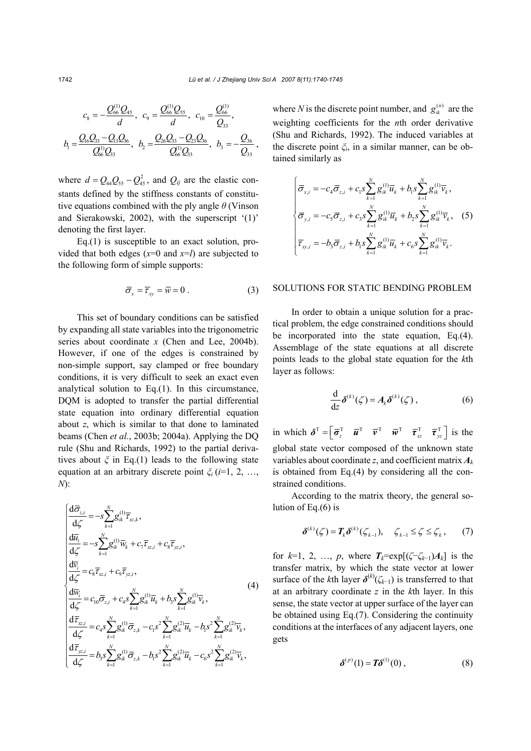$$
c_8 = -\frac{Q_{66}^{(1)}Q_{45}}{d}, c_9 = \frac{Q_{66}^{(1)}Q_{55}}{d}, c_{10} = \frac{Q_{66}^{(1)}}{Q_{33}},
$$
  

$$
b_1 = \frac{Q_{16}Q_{33} - Q_{13}Q_{36}}{Q_{66}^{(1)}Q_{33}}, b_2 = \frac{Q_{26}Q_{33} - Q_{23}Q_{36}}{Q_{66}^{(1)}Q_{33}}, b_3 = -\frac{Q_{36}}{Q_{33}},
$$

where  $d = Q_{44} Q_{55} - Q_{45}^2$ , and  $Q_{ij}$  are the elastic constants defined by the stiffness constants of constitutive equations combined with the ply angle *θ* (Vinson and Sierakowski, 2002), with the superscript '(1)' denoting the first layer.

Eq.(1) is susceptible to an exact solution, provided that both edges  $(x=0 \text{ and } x=l)$  are subjected to the following form of simple supports:

$$
\overline{\sigma}_x = \overline{r}_{xy} = \overline{w} = 0.
$$
 (3)

This set of boundary conditions can be satisfied by expanding all state variables into the trigonometric series about coordinate *x* (Chen and Lee, 2004b). However, if one of the edges is constrained by non-simple support, say clamped or free boundary conditions, it is very difficult to seek an exact even analytical solution to Eq.(1). In this circumstance, DQM is adopted to transfer the partial differential state equation into ordinary differential equation about *z*, which is similar to that done to laminated beams (Chen *et al.*, 2003b; 2004a). Applying the DQ rule (Shu and Richards, 1992) to the partial derivatives about *ξ* in Eq.(1) leads to the following state equation at an arbitrary discrete point *ξ<sup>i</sup>* (*i*=1, 2, …, *N*):

$$
\begin{cases}\n\frac{d\overline{\sigma}_{z,i}}{d\zeta} = -s \sum_{k=1}^{N} g_{ik}^{(1)} \overline{\tau}_{x,k}, \\
\frac{d\overline{u}_{i}}{d\zeta} = -s \sum_{k=1}^{N} g_{ik}^{(1)} \overline{w}_{k} + c_{7} \overline{\tau}_{x,i} + c_{8} \overline{\tau}_{y,z,i}, \\
\frac{d\overline{v}_{i}}{d\zeta} = c_{8} \overline{\tau}_{x,i} + c_{9} \overline{\tau}_{y,z,i}, \\
\frac{d\overline{w}_{i}}{d\zeta} = c_{10} \overline{\sigma}_{z,i} + c_{4} s \sum_{k=1}^{N} g_{ik}^{(1)} \overline{u}_{k} + b_{3} s \sum_{k=1}^{N} g_{ik}^{(1)} \overline{v}_{k}, \\
\frac{d\overline{\tau}_{x,i}}{d\zeta} = c_{4} s \sum_{k=1}^{N} g_{ik}^{(1)} \overline{\sigma}_{z,k} - c_{1} s^{2} \sum_{k=1}^{N} g_{ik}^{(2)} \overline{u}_{k} - b_{1} s^{2} \sum_{k=1}^{N} g_{ik}^{(2)} \overline{v}_{k}, \\
\frac{d\overline{\tau}_{y,z,i}}{d\zeta} = b_{3} s \sum_{k=1}^{N} g_{ik}^{(1)} \overline{\sigma}_{z,k} - b_{1} s^{2} \sum_{k=1}^{N} g_{ik}^{(2)} \overline{u}_{k} - c_{6} s^{2} \sum_{k=1}^{N} g_{ik}^{(2)} \overline{v}_{k},\n\end{cases}
$$
\n(4)

where *N* is the discrete point number, and  $g_{ik}^{(n)}$  are the weighting coefficients for the *n*th order derivative (Shu and Richards, 1992). The induced variables at the discrete point *ξi*, in a similar manner, can be obtained similarly as

$$
\begin{cases}\n\overline{\sigma}_{x,i} = -c_4 \overline{\sigma}_{z,i} + c_1 s \sum_{k=1}^N g_{ik}^{(1)} \overline{u}_k + b_1 s \sum_{k=1}^N g_{ik}^{(1)} \overline{v}_k, \\
\overline{\sigma}_{y,i} = -c_5 \overline{\sigma}_{z,i} + c_3 s \sum_{k=1}^N g_{ik}^{(1)} \overline{u}_k + b_2 s \sum_{k=1}^N g_{ik}^{(1)} \overline{v}_k,\n\end{cases}
$$
\n
$$
\overline{\tau}_{xy,i} = -b_3 \overline{\sigma}_{z,i} + b_1 s \sum_{k=1}^N g_{ik}^{(1)} \overline{u}_k + c_6 s \sum_{k=1}^N g_{ik}^{(1)} \overline{v}_k.
$$
\n(5)

#### SOLUTIONS FOR STATIC BENDING PROBLEM

In order to obtain a unique solution for a practical problem, the edge constrained conditions should be incorporated into the state equation, Eq.(4). Assemblage of the state equations at all discrete points leads to the global state equation for the *k*th layer as follows:

$$
\frac{\mathrm{d}}{\mathrm{d}z}\delta^{(k)}(\zeta) = A_k \delta^{(k)}(\zeta) , \qquad (6)
$$

in which  $\boldsymbol{\delta}^{\mathrm{T}} = \begin{bmatrix} \overline{\boldsymbol{\sigma}}_z^{\mathrm{T}} & \overline{\boldsymbol{u}}^{\mathrm{T}} & \overline{\boldsymbol{v}}^{\mathrm{T}} & \overline{\boldsymbol{v}}^{\mathrm{T}} & \overline{\boldsymbol{\tau}}_{xz}^{\mathrm{T}} & \overline{\boldsymbol{\tau}}_{yz}^{\mathrm{T}} \end{bmatrix}$  is the global state vector composed of the unknown state variables about coordinate *z*, and coefficient matrix *A<sup>k</sup>* is obtained from Eq.(4) by considering all the constrained conditions.

According to the matrix theory, the general solution of Eq.(6) is

$$
\boldsymbol{\delta}^{(k)}(\zeta) = T_k \boldsymbol{\delta}^{(k)}(\zeta_{k-1}), \quad \zeta_{k-1} \le \zeta \le \zeta_k, \qquad (7)
$$

for  $k=1, 2, ..., p$ , where  $T_k = \exp[(\zeta - \zeta_{k-1})A_k]$  is the transfer matrix, by which the state vector at lower surface of the *k*th layer  $\delta^{(k)}(\zeta_{k-1})$  is transferred to that at an arbitrary coordinate *z* in the *k*th layer. In this sense, the state vector at upper surface of the layer can be obtained using Eq.(7). Considering the continuity conditions at the interfaces of any adjacent layers, one gets

$$
\boldsymbol{\delta}^{(p)}(1) = \boldsymbol{T} \boldsymbol{\delta}^{(1)}(0) , \qquad (8)
$$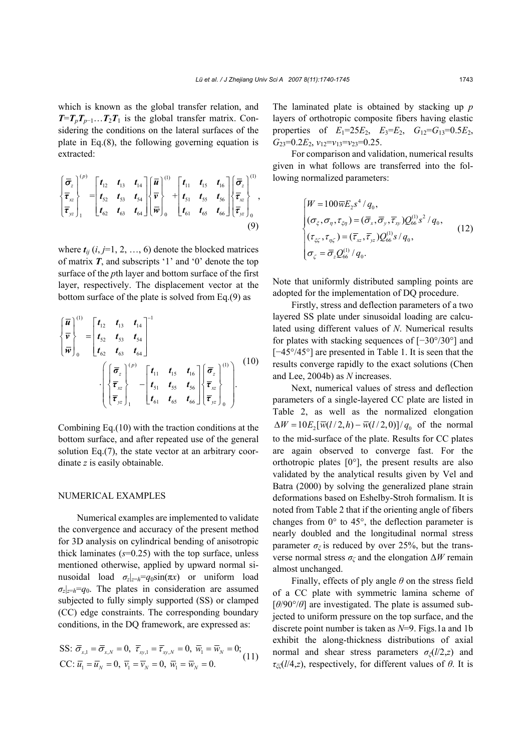which is known as the global transfer relation, and  $T=T_pT_{p-1}...T_2T_1$  is the global transfer matrix. Considering the conditions on the lateral surfaces of the plate in Eq.(8), the following governing equation is extracted:

$$
\begin{Bmatrix} \bar{\sigma}_{z} \\ \bar{\tau}_{xz} \\ \bar{\tau}_{yz} \end{Bmatrix}_{1}^{(p)} = \begin{bmatrix} t_{12} & t_{13} & t_{14} \\ t_{52} & t_{53} & t_{54} \\ t_{62} & t_{63} & t_{64} \end{bmatrix} \begin{Bmatrix} \bar{u} \\ \bar{v} \\ \bar{w} \end{Bmatrix}_{0}^{(1)} + \begin{bmatrix} t_{11} & t_{15} & t_{16} \\ t_{51} & t_{55} & t_{56} \\ t_{61} & t_{65} & t_{66} \end{bmatrix} \begin{Bmatrix} \bar{\sigma}_{z} \\ \bar{\tau}_{xz} \\ \bar{\tau}_{yz} \end{Bmatrix}_{0}^{(1)},
$$
\n(9)

where  $t_{ij}$  ( $i, j=1, 2, ..., 6$ ) denote the blocked matrices of matrix *T*, and subscripts '1' and '0' denote the top surface of the *p*th layer and bottom surface of the first layer, respectively. The displacement vector at the bottom surface of the plate is solved from Eq.(9) as

$$
\begin{aligned}\n\left\{\frac{\overline{u}}{v}\right\}_{0}^{(1)} &= \begin{bmatrix} t_{12} & t_{13} & t_{14} \\ t_{52} & t_{53} & t_{54} \\ t_{62} & t_{63} & t_{64} \end{bmatrix}^{-1} \\
&\cdot \left\{\begin{bmatrix} \overline{\sigma}_{z} \\ \overline{\tau}_{xz} \\ \overline{\tau}_{yz} \end{bmatrix}_{1}^{(p)} - \begin{bmatrix} t_{11} & t_{15} & t_{16} \\ t_{51} & t_{55} & t_{56} \\ t_{61} & t_{65} & t_{66} \end{bmatrix} \begin{bmatrix} \overline{\sigma}_{z} \\ \overline{\tau}_{yz} \\ \overline{\tau}_{yz} \end{bmatrix}_{0}^{(1)}\right). \n\end{aligned} \tag{10}
$$

Combining Eq.(10) with the traction conditions at the bottom surface, and after repeated use of the general solution Eq.(7), the state vector at an arbitrary coordinate *z* is easily obtainable.

#### NUMERICAL EXAMPLES

Numerical examples are implemented to validate the convergence and accuracy of the present method for 3D analysis on cylindrical bending of anisotropic thick laminates (*s*=0.25) with the top surface, unless mentioned otherwise, applied by upward normal sinusoidal load  $\sigma_z|_{z=h} = q_0 \sin(\pi x)$  or uniform load  $\sigma_z|_{z=h}=q_0$ . The plates in consideration are assumed subjected to fully simply supported (SS) or clamped (CC) edge constraints. The corresponding boundary conditions, in the DQ framework, are expressed as:

$$
\begin{aligned} \text{SS: } \overline{\sigma}_{x,1} &= \overline{\sigma}_{x,N} = 0, \ \overline{r}_{xy,1} = \overline{r}_{xy,N} = 0, \ \overline{w}_1 = \overline{w}_N = 0;\\ \text{CC: } \overline{u}_1 &= \overline{u}_N = 0, \ \overline{v}_1 = \overline{v}_N = 0, \ \overline{w}_1 = \overline{w}_N = 0. \end{aligned} \tag{11}
$$

The laminated plate is obtained by stacking up *p* layers of orthotropic composite fibers having elastic properties of  $E_1=25E_2$ ,  $E_3=E_2$ ,  $G_{12}=G_{13}=0.5E_2$ ,  $G_{23}=0.2E_2$ ,  $v_{12}=v_{13}=v_{23}=0.25$ .

For comparison and validation, numerical results given in what follows are transferred into the following normalized parameters:

$$
\begin{cases}\nW = 100 \overline{w} E_2 s^4 / q_0, \n(\sigma_{\xi}, \sigma_{\eta}, \tau_{\xi \eta}) = (\overline{\sigma}_x, \overline{\sigma}_y, \overline{\tau}_x) Q_{66}^{(1)} s^2 / q_0, \n(\tau_{\xi \zeta}, \tau_{\eta \zeta}) = (\overline{\tau}_{xz}, \overline{\tau}_{yz}) Q_{66}^{(1)} s / q_0, \n\sigma_{\zeta} = \overline{\sigma}_z Q_{66}^{(1)} / q_0.\n\end{cases}
$$
\n(12)

Note that uniformly distributed sampling points are adopted for the implementation of DQ procedure.

Firstly, stress and deflection parameters of a two layered SS plate under sinusoidal loading are calculated using different values of *N*. Numerical results for plates with stacking sequences of [−30°/30°] and [−45°/45°] are presented in Table 1. It is seen that the results converge rapidly to the exact solutions (Chen and Lee, 2004b) as *N* increases.

Next, numerical values of stress and deflection parameters of a single-layered CC plate are listed in Table 2, as well as the normalized elongation  $\Delta W = 10 E_2 [\overline{w}(l/2, h) - \overline{w}(l/2, 0)]/q_0$  of the normal to the mid-surface of the plate. Results for CC plates are again observed to converge fast. For the orthotropic plates  $[0^{\circ}]$ , the present results are also validated by the analytical results given by Vel and Batra (2000) by solving the generalized plane strain deformations based on Eshelby-Stroh formalism. It is noted from Table 2 that if the orienting angle of fibers changes from 0° to 45°, the deflection parameter is nearly doubled and the longitudinal normal stress parameter  $\sigma_{\xi}$  is reduced by over 25%, but the transverse normal stress *σζ* and the elongation ∆*W* remain almost unchanged.

Finally, effects of ply angle *θ* on the stress field of a CC plate with symmetric lamina scheme of [*θ*/90°/*θ*] are investigated. The plate is assumed subjected to uniform pressure on the top surface, and the discrete point number is taken as *N*=9. Figs.1a and 1b exhibit the along-thickness distributions of axial normal and shear stress parameters *σξ*(*l*/2,*z*) and *τξζ*(*l*/4,*z*), respectively, for different values of *θ*. It is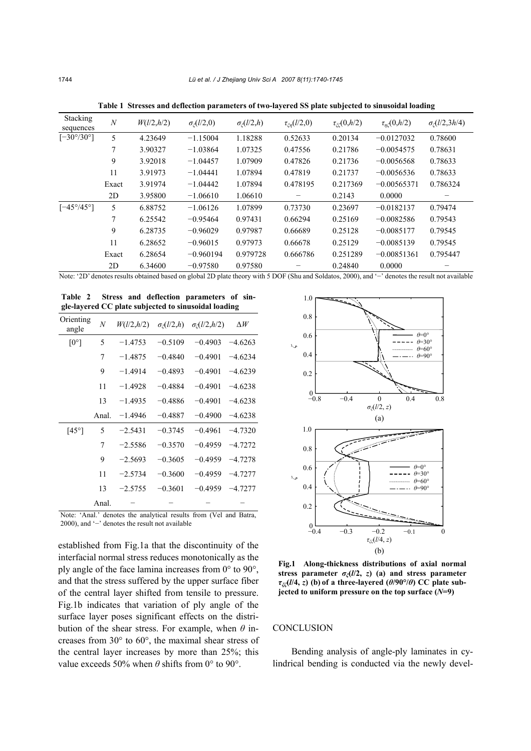| <b>Stacking</b><br>sequences | $\boldsymbol{N}$ | W(l/2,h/2) | $\sigma_{\zeta}(l/2,0)$ | $\sigma_{\zeta}(l/2,h)$ | $\tau_{\zeta\eta}(l/2,0)$ | $\tau_{\text{eff}}(0, h/2)$ | $\tau_{n\ell}(0, h/2)$ | $\sigma_c(l/2,3h/4)$ |
|------------------------------|------------------|------------|-------------------------|-------------------------|---------------------------|-----------------------------|------------------------|----------------------|
| $[-30^{\circ}/30^{\circ}]$   | 5                | 4.23649    | $-1.15004$              | 1.18288                 | 0.52633                   | 0.20134                     | $-0.0127032$           | 0.78600              |
|                              | 7                | 3.90327    | $-1.03864$              | 1.07325                 | 0.47556                   | 0.21786                     | $-0.0054575$           | 0.78631              |
|                              | 9                | 3.92018    | $-1.04457$              | 1.07909                 | 0.47826                   | 0.21736                     | $-0.0056568$           | 0.78633              |
|                              | 11               | 3.91973    | $-1.04441$              | 1.07894                 | 0.47819                   | 0.21737                     | $-0.0056536$           | 0.78633              |
|                              | Exact            | 3.91974    | $-1.04442$              | 1.07894                 | 0.478195                  | 0.217369                    | $-0.00565371$          | 0.786324             |
|                              | 2D               | 3.95800    | $-1.06610$              | 1.06610                 |                           | 0.2143                      | 0.0000                 |                      |
| $[-45^{\circ}/45^{\circ}]$   | 5                | 6.88752    | $-1.06126$              | 1.07899                 | 0.73730                   | 0.23697                     | $-0.0182137$           | 0.79474              |
|                              | $\tau$           | 6.25542    | $-0.95464$              | 0.97431                 | 0.66294                   | 0.25169                     | $-0.0082586$           | 0.79543              |
|                              | 9                | 6.28735    | $-0.96029$              | 0.97987                 | 0.66689                   | 0.25128                     | $-0.0085177$           | 0.79545              |
|                              | 11               | 6.28652    | $-0.96015$              | 0.97973                 | 0.66678                   | 0.25129                     | $-0.0085139$           | 0.79545              |
|                              | Exact            | 6.28654    | $-0.960194$             | 0.979728                | 0.666786                  | 0.251289                    | $-0.00851361$          | 0.795447             |
|                              | 2D               | 6.34600    | $-0.97580$              | 0.97580                 |                           | 0.24840                     | 0.0000                 |                      |

**Table 1 Stresses and deflection parameters of two-layered SS plate subjected to sinusoidal loading**

Note: '2D' denotes results obtained based on global 2D plate theory with 5 DOF (Shu and Soldatos, 2000), and '−' denotes the result not available

**Table 2 Stress and deflection parameters of single-layered CC plate subjected to sinusoidal loading**

| Orienting<br>angle                                                | $\overline{N}$ | W(l/2,h/2) | $\sigma_{\zeta}(l/2,h)$ | $\sigma_{c}(l/2,h/2)$ | $\Delta W$ |  |  |  |
|-------------------------------------------------------------------|----------------|------------|-------------------------|-----------------------|------------|--|--|--|
| $[0^{\circ}]$                                                     | 5              | $-1.4753$  | $-0.5109$               | $-0.4903$             | $-4.6263$  |  |  |  |
|                                                                   | 7              | $-1.4875$  | $-0.4840$               | $-0.4901$             | $-4.6234$  |  |  |  |
|                                                                   | 9              | $-1.4914$  | $-0.4893$               | $-0.4901$             | $-4.6239$  |  |  |  |
|                                                                   | 11             | $-1.4928$  | $-0.4884$               | $-0.4901$             | $-4.6238$  |  |  |  |
|                                                                   | 13             | $-1.4935$  | $-0.4886$               | $-0.4901$             | $-4.6238$  |  |  |  |
|                                                                   | Anal.          | $-1.4946$  | $-0.4887$               | $-0.4900$             | $-4.6238$  |  |  |  |
| $[45^\circ]$                                                      | 5              | $-2.5431$  | $-0.3745$               | $-0.4961$             | $-4.7320$  |  |  |  |
|                                                                   | 7              | $-2.5586$  | $-0.3570$               | $-0.4959$             | $-4.7272$  |  |  |  |
|                                                                   | 9              | $-2.5693$  | $-0.3605$               | $-0.4959$             | $-4.7278$  |  |  |  |
|                                                                   | 11             | $-2.5734$  | $-0.3600$               | $-0.4959$             | $-4.7277$  |  |  |  |
|                                                                   | 13             | $-2.5755$  | $-0.3601$               | $-0.4959$             | $-4.7277$  |  |  |  |
|                                                                   | Anal.          |            |                         |                       |            |  |  |  |
| Note: 'Anal' departed the englisting regults from (Vol. and Datro |                |            |                         |                       |            |  |  |  |

Note: 'Anal.' denotes the analytical results from (Vel and Batra, 2000), and '−' denotes the result not available

established from Fig.1a that the discontinuity of the interfacial normal stress reduces monotonically as the ply angle of the face lamina increases from 0° to 90°, and that the stress suffered by the upper surface fiber of the central layer shifted from tensile to pressure. Fig.1b indicates that variation of ply angle of the surface layer poses significant effects on the distribution of the shear stress. For example, when *θ* increases from 30° to 60°, the maximal shear stress of the central layer increases by more than 25%; this value exceeds 50% when *θ* shifts from 0° to 90°.



**Fig.1 Along-thickness distributions of axial normal stress parameter**  $\sigma_{\ell}(l/2, z)$  **(a) and stress parameter** *τξζ***(***l***/4,** *z***) (b) of a three-layered (***θ***/90°/***θ***) CC plate subjected to uniform pressure on the top surface (***N***=9)** 

# **CONCLUSION**

Bending analysis of angle-ply laminates in cylindrical bending is conducted via the newly devel